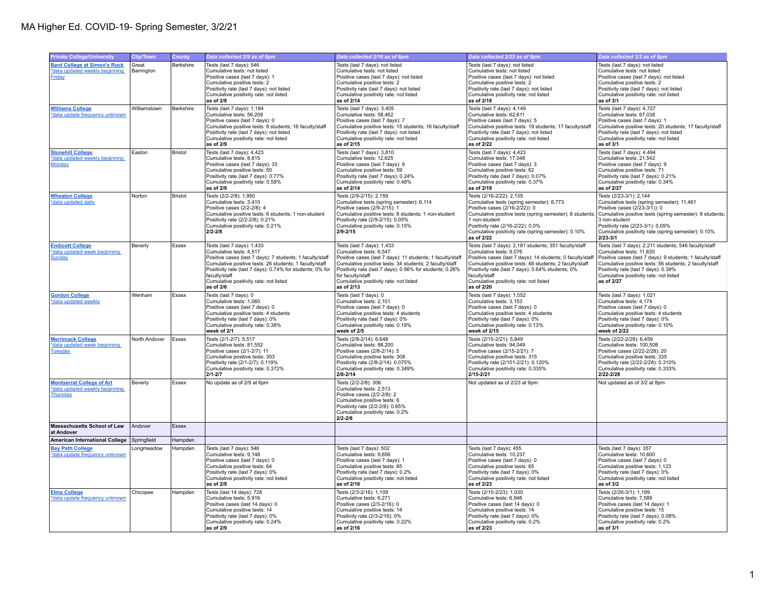| <b>Private College/University</b>                                               | City/Town                           | County           | Data collected 2/9 as of 6pm                                                                                                                                                                                                                                                                                       | Data collected 2/16 as of 6pm                                                                                                                                                                                                                                                                                           | Data collected 2/23 as of 9pm                                                                                                                                                                                                                                                                                                            | Data collected 3/2 as of 8pm                                                                                                                                                                                                                                                                               |
|---------------------------------------------------------------------------------|-------------------------------------|------------------|--------------------------------------------------------------------------------------------------------------------------------------------------------------------------------------------------------------------------------------------------------------------------------------------------------------------|-------------------------------------------------------------------------------------------------------------------------------------------------------------------------------------------------------------------------------------------------------------------------------------------------------------------------|------------------------------------------------------------------------------------------------------------------------------------------------------------------------------------------------------------------------------------------------------------------------------------------------------------------------------------------|------------------------------------------------------------------------------------------------------------------------------------------------------------------------------------------------------------------------------------------------------------------------------------------------------------|
| <b>Bard College at Simon's Rock</b><br>*data updated weekly beginning<br>Friday | Great<br>Barrington<br>Williamstown | <b>Berkshire</b> | Tests (last 7 days): 546<br>Cumulative tests: not listed<br>Positive cases (last 7 days): 1<br>Cumulative positive tests: 2<br>Positivity rate (last 7 days): not listed<br>Cumulative positivity rate: not listed<br>as of 2/8                                                                                    | Tests (last 7 days): not listed<br>Cumulative tests: not listed<br>Positive cases (last 7 days): not listed<br>Cumulative positive tests: 2<br>Positivity rate (last 7 days); not listed<br>Cumulative positivity rate: not listed<br>as of 2/14                                                                        | Tests (last 7 days): not listed<br>Cumulative tests: not listed<br>Positive cases (last 7 days): not listed<br>Cumulative positive tests: 2<br>Positivity rate (last 7 days): not listed<br>Cumulative positivity rate: not listed<br>as of 2/18                                                                                         | Tests (last 7 days): not listed<br>Cumulative tests: not listed<br>Positive cases (last 7 days): not listed<br>Cumulative positive tests: 2<br>Positivity rate (last 7 days): not listed<br>Cumulative positivity rate: not listed<br>as of 3/1                                                            |
| <b>Williams College</b><br>*data update frequency unknown                       |                                     | Berkshire        | Tests (last 7 days): 1,184<br>Cumulative tests: 56.209<br>Positive cases (last 7 days): 0<br>Cumulative positive tests: 8 students; 16 faculty/staff<br>Positivity rate (last 7 days): not listed<br>Cumulative positivity rate: not listed<br>as of 2/9                                                           | Tests (last 7 days): 3,405<br>Cumulative tests: 58,462<br>Positive cases (last 7 days): 7<br>Cumulative positive tests: 15 students; 16 faculty/staff<br>Positivity rate (last 7 days): not listed<br>Cumulative positivity rate: not listed<br>as of 2/15                                                              | Tests (last 7 days): 4,149<br>Cumulative tests: 62,611<br>Positive cases (last 7 days): 5<br>Cumulative positive tests: 19 students; 17 faculty/staff<br>Positivity rate (last 7 days): not listed<br>Cumulative positivity rate: not listed<br>as of 2/22                                                                               | Tests (last 7 days): 4,727<br>Cumulative tests: 67.038<br>Positive cases (last 7 days): 1<br>Cumulative positive tests: 20 students; 17 faculty/staff<br>Positivity rate (last 7 days): not listed<br>Cumulative positivity rate: not listed<br>as of 3/1                                                  |
| <b>Stonehill College</b><br>*data updated weekly beginning<br>Monday            | Easton                              | <b>Bristol</b>   | Tests (last 7 days): 4,423<br>Cumulative tests: 8.815<br>Positive cases (last 7 days): 33<br>Cumulative positive tests: 50<br>Positivity rate (last 7 days): 0.77%<br>Cumulative positivity rate: 0.58%<br>as of 2/9                                                                                               | Tests (last 7 days): 3,810<br>Cumulative tests: 12,625<br>Positive cases (last 7 days): 9<br>Cumulative positive tests: 59<br>Positivity rate (last 7 days): 0.24%<br>Cumulative positivity rate: 0.48%<br>as of 2/14                                                                                                   | Tests (last 7 days): 4,423<br>Cumulative tests: 17.048<br>Positive cases (last 7 days): 3<br>Cumulative positive tests: 62<br>Positivity rate (last 7 days): 0.07%<br>Cumulative positivity rate: 0.37%<br>as of 2/19                                                                                                                    | Tests (last 7 days): 4,494<br>Cumulative tests: 21.542<br>Positive cases (last 7 days): 9<br>Cumulative positive tests: 71<br>Positivity rate (last 7 days): 0.21%<br>Cumulative positivity rate: 0.34%<br>as of 2/27                                                                                      |
| <b>Wheaton College</b><br>*data updated daily                                   | Norton                              | <b>Bristol</b>   | Tests (2/2-2/8): 1,950<br>Cumulative tests: 3,410<br>Positive cases (2/2-2/8): 4<br>Cumulative positive tests: 6 students; 1 non-student<br>Positivity rate (2/2-2/8): 0.21%<br>Cumulative positivity rate: 0.21%<br>$2/2 - 2/8$                                                                                   | Tests (2/9-2/15): 2,159<br>Cumulative tests (spring semester): 6,114<br>Positive cases (2/9-2/15): 1<br>Cumulative positive tests: 8 students; 1 non-student<br>Positivity rate (2/9-2/15): 0.05%<br>Cumulative positivity rate: 0.15%<br>$2/9 - 2/15$                                                                  | Tests (2/16-2/22): 2,135<br>Cumulative tests (spring semester): 8,773<br>Positive cases (2/16-2/22)); 0<br>Cumulative positive tests (spring semester): 8 students;<br>1 non-student<br>Positivity rate (2/16-2/22): 0.0%<br>Cumulative positivity rate (spring semester): 0.10%<br>as of 2/22                                           | Tests (2/23-3/1): 2,144<br>Cumulative tests (spring semester): 11,461<br>Positive cases (2/23-3/1)): 0<br>Cumulative positive tests (spring semester): 8 students;<br>3 non-student<br>Positivity rate (2/23-3/1): 0.05%<br>Cumulative positivity rate (spring semester): 0.10%<br>$2/23 - 3/1$            |
| <b>Endicott College</b><br>*data updated week beginning<br>Sunday               | Beverly                             | Essex            | Tests (last 7 days): 1,433<br>Cumulative tests: 4.517<br>Positive cases (last 7 days): 7 students; 1 faculty/staff<br>Cumulative positive tests: 26 students; 1 faculty/staff<br>Positivity rate (last 7 days): 0.74% for students; 0% for<br>faculty/staff<br>Cumulative positivity rate: not listed<br>as of 2/6 | Tests (last 7 days): 1,433<br>Cumulative tests: 6.547<br>Positive cases (last 7 days): 11 students; 1 faculty/staff<br>Cumulative positive tests: 34 students; 2 faculty/staff<br>Positivity rate (last 7 days): 0.56% for students; 0.26%<br>for faculty/staff<br>Cumulative positivity rate: not listed<br>as of 2/13 | Tests (last 7 days): 2,181 students; 351 faculty/staff<br>Cumulative tests: 9,076<br>Positive cases (last 7 days): 14 students; 0 faculty/staff<br>Cumulative positive tests: 48 students; 2 faculty/staff<br>Positivity rate (last 7 days): 0.64% students; 0%<br>faculty/staff<br>Cumulative positivity rate: not listed<br>as of 2/20 | Tests (last 7 days): 2,211 students; 546 faculty/staff<br>Cumulative tests: 11.830<br>Positive cases (last 7 days): 9 students; 1 faculty/staff<br>Cumulative positive tests: 56 students; 2 faculty/staff<br>Positivity rate (last 7 days): 0.39%<br>Cumulative positivity rate: not listed<br>as of 2/27 |
| <b>Gordon College</b><br>*data updated weekly                                   | Wenham                              | Essex            | Tests (last 7 days): 0<br>Cumulative tests: 1,060<br>Positive cases (last 7 days): 0<br>Cumulative positive tests: 4 students<br>Positivity rate (last 7 days): 0%<br>Cumulative positivity rate: 0.38%<br>week of 2/1                                                                                             | Tests (last 7 days): 0<br>Cumulative tests: 2,101<br>Positive cases (last 7 days): 0<br>Cumulative positive tests: 4 students<br>Positivity rate (last 7 days): 0%<br>Cumulative positivity rate: 0.19%<br>week of 2/5                                                                                                  | Tests (last 7 days): 1,052<br>Cumulative tests: 3,153<br>Positive cases (last 7 days): 0<br>Cumulative positive tests: 4 students<br>Positivity rate (last 7 days): 0%<br>Cumulative positivity rate: 0.13%<br>week of 2/15                                                                                                              | Tests (last 7 days): 1,021<br>Cumulative tests: 4,174<br>Positive cases (last 7 days): 0<br>Cumulative positive tests: 4 students<br>Positivity rate (last 7 days): 0%<br>Cumulative positivity rate: 0.10%<br>week of 2/22                                                                                |
| <b>Merrimack College</b><br>*data updated week beginning<br><b>Tuesday</b>      | North Andover                       | Essex            | Tests (2/1-2/7): 5,517<br>Cumulative tests: 81,552<br>Positive cases (2/1-2/7): 11<br>Cumulative positive tests: 303<br>Positivity rate (2/1-2/7): 0.119%<br>Cumulative positivity rate: 0.372%<br>$2/1 - 2/7$                                                                                                     | Tests (2/8-2/14): 6,648<br>Cumulative tests: 88,200<br>Positive cases (2/8-2/14): 5<br>Cumulative positive tests: 308<br>Positivity rate (2/8-2/14): 0.075%<br>Cumulative positivity rate: 0.349%<br>$2/8 - 2/14$                                                                                                       | Tests (2/15-2/21): 5,849<br>Cumulative tests: 94,049<br>Positive cases (2/15-2/21): 7<br>Cumulative positive tests: 315<br>Positivity rate (2/151-2/21): 0.120%<br>Cumulative positivity rate: 0.335%<br>2/15-2/21                                                                                                                       | Tests (2/22-2/28): 6,459<br>Cumulative tests: 100,508<br>Positive cases (2/22-2/28): 20<br>Cumulative positive tests: 335<br>Positivity rate (2/22-2/28): 0.310%<br>Cumulative positivity rate: 0.333%<br>2/22-2/28                                                                                        |
| <b>Montserrat College of Art</b><br>*data updated weekly beginning<br>Thursday  | Beverly                             | Essex            | No update as of 2/9 at 6pm                                                                                                                                                                                                                                                                                         | Tests (2/2-2/8): 306<br>Cumulative tests: 2,513<br>Positive cases (2/2-2/8): 2<br>Cumulative positive tests: 6<br>Positivity rate (2/2-2/8): 0.65%<br>Cumulative positivity rate: 0.2%<br>$2/2 - 2/8$                                                                                                                   | Not updated as of 2/23 at 9pm                                                                                                                                                                                                                                                                                                            | Not updated as of 3/2 at 8pm                                                                                                                                                                                                                                                                               |
| <b>Massachusetts School of Law</b><br>at Andover                                | Andover                             | Essex            |                                                                                                                                                                                                                                                                                                                    |                                                                                                                                                                                                                                                                                                                         |                                                                                                                                                                                                                                                                                                                                          |                                                                                                                                                                                                                                                                                                            |
| <b>American International College</b>                                           | Springfield                         | Hampden          |                                                                                                                                                                                                                                                                                                                    |                                                                                                                                                                                                                                                                                                                         |                                                                                                                                                                                                                                                                                                                                          |                                                                                                                                                                                                                                                                                                            |
| <b>Bay Path College</b><br>*data update frequency unknown                       | ongmeadow                           | Hampden          | Tests (last 7 days): 546<br>Cumulative tests: 9,148<br>Positive cases (last 7 days): 0<br>Cumulative positive tests: 64<br>Positivity rate (last 7 days): 0%<br>Cumulative positivity rate: not listed<br>as of 2/9                                                                                                | Tests (last 7 days): 502<br>Cumulative tests: 9,656<br>Positive cases (last 7 days): 1<br>Cumulative positive tests: 65<br>Positivity rate (last 7 days): 0.2%<br>Cumulative positivity rate: not listed<br>as of 2/16                                                                                                  | Tests (last 7 days): 455<br>Cumulative tests: 10,237<br>Positive cases (last 7 days): 0<br>Cumulative positive tests: 65<br>Positivity rate (last 7 days): 0%<br>Cumulative positivity rate: not listed<br>as of 2/23                                                                                                                    | Tests (last 7 days): 357<br>Cumulative tests: 10,600<br>Positive cases (last 7 days): 0<br>Cumulative positive tests: 1,123<br>Positivity rate (last 7 days): 0%<br>Cumulative positivity rate: not listed<br>as of 3/2                                                                                    |
| <b>Elms College</b><br>*data update frequency unknown                           | Chicopee                            | Hampden          | Tests (last 14 days): 726<br>Cumulative tests: 5,916<br>Positive cases (last 14 days): 0<br>Cumulative positive tests: 14<br>Positivity rate (last 7 days): 0%<br>Cumulative positivity rate: 0.24%<br>as of 2/9                                                                                                   | Tests (2/3-2/16): 1,109<br>Cumulative tests: 6,271<br>Positive cases (2/3-2/16): 0<br>Cumulative positive tests: 14<br>Positivity rate (2/3-2/16): 0%<br>Cumulative positivity rate: 0.22%<br>as of 2/16                                                                                                                | Tests (2/10-2/23): 1,030<br>Cumulative tests: 6,946<br>Positive cases (last 14 days): 0<br>Cumulative positive tests: 14<br>Positivity rate (last 7 days): 0%<br>Cumulative positivity rate: 0.2%<br>as of 2/23                                                                                                                          | Tests (2/26-3/1): 1,199<br>Cumulative tests: 7,589<br>Positive cases (last 14 days): 1<br>Cumulative positive tests: 15<br>Positivity rate (last 7 days): 0.08%<br>Cumulative positivity rate: 0.2%<br>as of 3/1                                                                                           |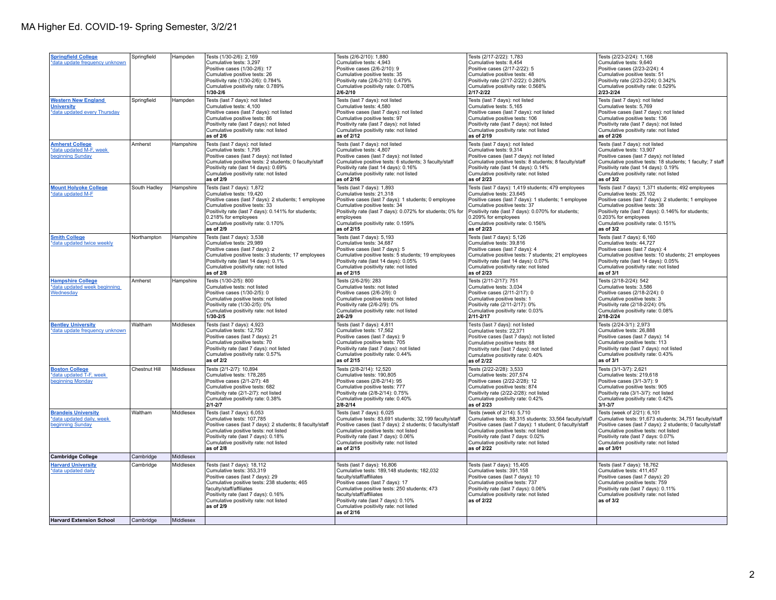| <b>Springfield College</b><br>*data update frequency unknown                    | Springfield   | Hampden   | Tests (1/30-2/6): 2,169<br>Cumulative tests: 3,297<br>Positive cases (1/30-2/6): 17<br>Cumulative positive tests: 26<br>Positivity rate (1/30-2/6): 0.784%<br>Cumulative positivity rate: 0.789%<br>1/30-2/6                                                                      | Tests (2/6-2/10): 1,880<br>Cumulative tests: 4,943<br>Positive cases (2/6-2/10): 9<br>Cumulative positive tests: 35<br>Positivity rate (2/6-2/10): 0.479%<br>Cumulative positivity rate: 0.708%<br>$2/6 - 2/10$                                                                                                        | Tests (2/17-2/22): 1,783<br>Cumulative tests: 8,454<br>Positive cases (2/17-2/22): 5<br>Cumulative positive tests: 48<br>Positivity rate (2/17-2/22): 0.280%<br>Cumulative positivity rate: 0.568%<br>2/17-2/22                                                                                            | Tests (2/23-2/24): 1,168<br>Cumulative tests: 9,640<br>Positive cases (2/23-2/24): 4<br>Cumulative positive tests: 51<br>Positivity rate (2/23-2/24): 0.342%<br>Cumulative positivity rate: 0.529%<br>2/23-2/24                                                                                           |
|---------------------------------------------------------------------------------|---------------|-----------|-----------------------------------------------------------------------------------------------------------------------------------------------------------------------------------------------------------------------------------------------------------------------------------|------------------------------------------------------------------------------------------------------------------------------------------------------------------------------------------------------------------------------------------------------------------------------------------------------------------------|------------------------------------------------------------------------------------------------------------------------------------------------------------------------------------------------------------------------------------------------------------------------------------------------------------|-----------------------------------------------------------------------------------------------------------------------------------------------------------------------------------------------------------------------------------------------------------------------------------------------------------|
| <b>Western New England</b><br><b>University</b><br>*data updated every Thursday | Springfield   | Hampden   | Tests (last 7 days): not listed<br>Cumulative tests: 4,100<br>Positive cases (last 7 days); not listed<br>Cumulative positive tests: 86<br>Positivity rate (last 7 days): not listed<br>Cumulative positivity rate: not listed<br>as of 2/6                                       | Tests (last 7 days): not listed<br>Cumulative tests: 4,580<br>Positive cases (last 7 days): not listed<br>Cumulative positive tests: 97<br>Positivity rate (last 7 days): not listed<br>Cumulative positivity rate: not listed<br>as of 2/12                                                                           | Tests (last 7 days): not listed<br>Cumulative tests: 5.165<br>Positive cases (last 7 days); not listed<br>Cumulative positive tests: 106<br>Positivity rate (last 7 days): not listed<br>Cumulative positivity rate: not listed<br>as of 2/19                                                              | Tests (last 7 days): not listed<br>Cumulative tests: 5,769<br>Positive cases (last 7 days): not listed<br>Cumulative positive tests: 136<br>Positivity rate (last 7 days): not listed<br>Cumulative positivity rate: not listed<br>as of 2/26                                                             |
| <b>Amherst College</b><br>*data updated M-F, week<br>beginning Sunday           | Amherst       | Hampshire | Tests (last 7 days): not listed<br>Cumulative tests: 1,795<br>Positive cases (last 7 days): not listed<br>Cumulative positive tests: 2 students; 0 faculty/staff<br>Positivity rate (last 14 days): 0.69%<br>Cumulative positivity rate: not listed<br>as of 2/9                  | Tests (last 7 days): not listed<br>Cumulative tests: 4,807<br>Positive cases (last 7 days): not listed<br>Cumulative positive tests: 6 students; 3 faculty/staff<br>Positivity rate (last 14 days): 0.16%<br>Cumulative positivity rate: not listed<br>as of 2/16                                                      | Tests (last 7 days): not listed<br>Cumulative tests: 9,314<br>Positive cases (last 7 days): not listed<br>Cumulative positive tests: 8 students; 8 faculty/staff<br>Positivity rate (last 14 days): 0.14%<br>Cumulative positivity rate: not listed<br>as of 2/23                                          | Tests (last 7 days): not listed<br>Cumulative tests: 13,907<br>Positive cases (last 7 days): not listed<br>Cumulative positive tests: 18 students; 1 faculty; 7 staff<br>Positivity rate (last 14 days): 0.19%<br>Cumulative positivity rate: not listed<br>as of 3/2                                     |
| <b>Mount Holyoke College</b><br>*data updated M-F                               | South Hadley  | Hampshire | Tests (last 7 days): 1,872<br>Cumulative tests: 19,420<br>Positive cases (last 7 days): 2 students; 1 employee<br>Cumulative positive tests: 33<br>Positivity rate (last 7 days): 0.141% for students;<br>0.218% for employees<br>Cumulative positivity rate: 0.170%<br>as of 2/9 | Tests (last 7 days): 1,893<br>Cumulative tests: 21,318<br>Positive cases (last 7 days): 1 students; 0 employee<br>Cumulative positive tests: 34<br>Positivity rate (last 7 days): 0.072% for students; 0% for<br>employees<br>Cumulative positivity rate: 0.159%<br>as of 2/15                                         | Tests (last 7 days): 1,419 students; 479 employees<br>Cumulative tests: 23,645<br>Positive cases (last 7 days): 1 students; 1 employee<br>Cumulative positive tests: 37<br>Positivity rate (last 7 days): 0.070% for students;<br>0.209% for employees<br>Cumulative positivity rate: 0.156%<br>as of 2/23 | Tests (last 7 days): 1,371 students; 492 employees<br>Cumulative tests: 25,102<br>Positive cases (last 7 days): 2 students; 1 employee<br>Cumulative positive tests: 38<br>Positivity rate (last 7 days): 0.146% for students;<br>0.203% for employees<br>Cumulative positivity rate: 0.151%<br>as of 3/2 |
| <b>Smith College</b><br>*data updated twice weekly                              | Northampton   | Hampshire | Tests (last 7 days): 3,538<br>Cumulative tests: 29,989<br>Positive cases (last 7 days): 2<br>Cumulative positive tests: 3 students; 17 employees<br>Positivity rate (last 14 days): 0.1%<br>Cumulative positivity rate: not listed<br>as of 2/8                                   | Tests (last 7 days): 5,193<br>Cumulative tests: 34,687<br>Positive cases (last 7 days): 5<br>Cumulative positive tests: 5 students; 19 employees<br>Positivity rate (last 14 days): 0.05%<br>Cumulative positivity rate: not listed<br>as of 2/15                                                                      | Tests (last 7 days): 5,126<br>Cumulative tests: 39,816<br>Positive cases (last 7 days): 4<br>Cumulative positive tests: 7 students; 21 employees<br>Positivity rate (last 14 days): 0.07%<br>Cumulative positivity rate: not listed<br>as of 2/23                                                          | Tests (last 7 days): 6,160<br>Cumulative tests: 44,727<br>Positive cases (last 7 days): 4<br>Cumulative positive tests: 10 students; 21 employees<br>Positivity rate (last 14 days): 0.05%<br>Cumulative positivity rate: not listed<br>as of 3/1                                                         |
| <b>Hampshire College</b><br>*data updated week beginning<br>Wednesday           | Amherst       | Hampshire | Tests (1/30-2/5): 800<br>Cumulative tests: not listed<br>Positive cases (1/30-2/5): 0<br>Cumulative positive tests: not listed<br>Positivity rate (1/30-2/5): 0%<br>Cumulative positivity rate: not listed<br>$1/30 - 2/5$                                                        | Tests (2/6-2/9): 283<br>Cumulative tests: not listed<br>Positive cases (2/6-2/9): 0<br>Cumulative positive tests: not listed<br>Positivity rate (2/6-2/9): 0%<br>Cumulative positivity rate: not listed<br>$2/6 - 2/9$                                                                                                 | Tests (2/11-2/17): 751<br>Cumulative tests: 3.034<br>Positive cases (2/11-2/17): 0<br>Cumulative positive tests: 1<br>Positivity rate (2/11-2/17): 0%<br>Cumulative positivity rate: 0.03%<br>2/11-2/17                                                                                                    | Tests (2/18-2/24): 542<br>Cumulative tests: 3.586<br>Positive cases (2/18-2/24): 0<br>Cumulative positive tests: 3<br>Positivity rate (2/18-2/24): 0%<br>Cumulative positivity rate: 0.08%<br>2/18-2/24                                                                                                   |
| <b>Bentley University</b><br>*data update frequency unknown                     | Waltham       | Middlesex | Tests (last 7 days): 4,923<br>Cumulative tests: 12,750<br>Positive cases (last 7 days): 21<br>Cumulative positive tests: 70<br>Positivity rate (last 7 days): not listed<br>Cumulative positivity rate: 0.57%<br>as of 2/2                                                        | Tests (last 7 days): 4,811<br>Cumulative tests: 17,562<br>Positive cases (last 7 days): 9<br>Cumulative positive tests: 705<br>Positivity rate (last 7 days): not listed<br>Cumulative positivity rate: 0.44%<br>as of 2/15                                                                                            | Tests (last 7 days): not listed<br>Cumulative tests: 22,371<br>Positive cases (last 7 days): not listed<br>Cumulative positive tests: 88<br>Positivity rate (last 7 days): not listed<br>Cumulative positivity rate: 0.40%<br>as of 2/22                                                                   | Tests (2/24-3/1): 2,973<br>Cumulative tests: 26,888<br>Positive cases (last 7 days): 14<br>Cumulative positive tests: 113<br>Positivity rate (last 7 days): not listed<br>Cumulative positivity rate: 0.43%<br>as of 3/1                                                                                  |
| <b>Boston College</b><br>*data updated T-F, week<br>beginning Monday            | Chestnut Hill | Middlesex | Tests (2/1-2/7): 10,894<br>Cumulative tests: 178,285<br>Positive cases (2/1-2/7): 48<br>Cumulative positive tests: 682<br>Positivity rate (2/1-2/7): not listed<br>Cumulative positivity rate: 0.38%<br>$2/1 - 2/7$                                                               | Tests (2/8-2/14): 12,520<br>Cumulative tests: 190,805<br>Positive cases (2/8-2/14): 95<br>Cumulative positive tests: 777<br>Positivity rate (2/8-2/14): 0.75%<br>Cumulative positivity rate: 0.40%<br>$2/8 - 2/14$                                                                                                     | Tests (2/22-2/28): 3,533<br>Cumulative tests: 207,574<br>Positive cases (2/22-2/28): 12<br>Cumulative positive tests: 874<br>Positivity rate (2/22-2/28): not listed<br>Cumulative positivity rate: 0.42%<br>as of 2/23                                                                                    | Tests (3/1-3/7): 2,621<br>Cumulative tests: 219,618<br>Positive cases (3/1-3/7): 9<br>Cumulative positive tests: 905<br>Positivity rate (3/1-3/7); not listed<br>Cumulative positivity rate: 0.42%<br>$3/1 - 3/7$                                                                                         |
| <b>Brandels University</b><br>*data updated daily, week<br>beginning Sunday     | Waltham       | Middlesex | Tests (last 7 days): 6,053<br>Cumulative tests: 107,785<br>Positive cases (last 7 days): 2 students; 8 faculty/staff<br>Cumulative positive tests: not listed<br>Positivity rate (last 7 days): 0.18%<br>Cumulative positivity rate: not listed<br>as of 2/8                      | Tests (last 7 days): 6,025<br>Cumulative tests: 83,691 students; 32,199 faculty/staff<br>Positive cases (last 7 days): 2 students; 0 faculty/staff<br>Cumulative positive tests: not listed<br>Positivity rate (last 7 days): 0.06%<br>Cumulative positivity rate: not listed<br>as of 2/15                            | Tests (week of 2/14): 5,710<br>Cumulative tests: 88,315 students; 33,564 faculty/staff<br>Positive cases (last 7 days): 1 student; 0 faculty/staff<br>Cumulative positive tests: not listed<br>Positivity rate (last 7 days: 0.02%<br>Cumulative positivity rate: not listed<br>as of 2/22                 | Tests (week of 2/21): 6,101<br>Cumulative tests: 91,673 students; 34,751 faculty/staff<br>Positive cases (last 7 days): 2 students; 0 faculty/staff<br>Cumulative positive tests: not listed<br>Positivity rate (last 7 days: 0.07%<br>Cumulative positivity rate: not listed<br>as of 3/01               |
| <b>Cambridge College</b>                                                        | Cambridge     | Middlesex |                                                                                                                                                                                                                                                                                   |                                                                                                                                                                                                                                                                                                                        |                                                                                                                                                                                                                                                                                                            |                                                                                                                                                                                                                                                                                                           |
| <b>Harvard University</b><br>*data updated daily                                | Cambridge     | Middlesex | Tests (last 7 days): 18,112<br>Cumulative tests: 353,319<br>Positive cases (last 7 days): 29<br>Cumulative positive tests: 238 students; 465<br>faculty/staff/affiliates<br>Positivity rate (last 7 days): 0.16%<br>Cumulative positivity rate: not listed<br>as of 2/9           | Tests (last 7 days): 16,806<br>Cumulative tests: 189,148 students; 182,032<br>faculty/staff/affiliates<br>Positive cases (last 7 days): 17<br>Cumulative positive tests: 250 students; 473<br>faculty/staff/affiliates<br>Positivity rate (last 7 days): 0.10%<br>Cumulative positivity rate: not listed<br>as of 2/16 | Tests (last 7 days): 15,405<br>Cumulative tests: 391.158<br>Positive cases (last 7 days): 10<br>Cumulative positive tests: 737<br>Positivity rate (last 7 days): 0.06%<br>Cumulative positivity rate: not listed<br>as of 2/22                                                                             | Tests (last 7 days): 18,762<br>Cumulative tests: 411.457<br>Positive cases (last 7 days): 20<br>Cumulative positive tests: 759<br>Positivity rate (last 7 days): 0.11%<br>Cumulative positivity rate: not listed<br>as of 3/2                                                                             |
| <b>Harvard Extension School</b>                                                 | Cambridge     | Middlesex |                                                                                                                                                                                                                                                                                   |                                                                                                                                                                                                                                                                                                                        |                                                                                                                                                                                                                                                                                                            |                                                                                                                                                                                                                                                                                                           |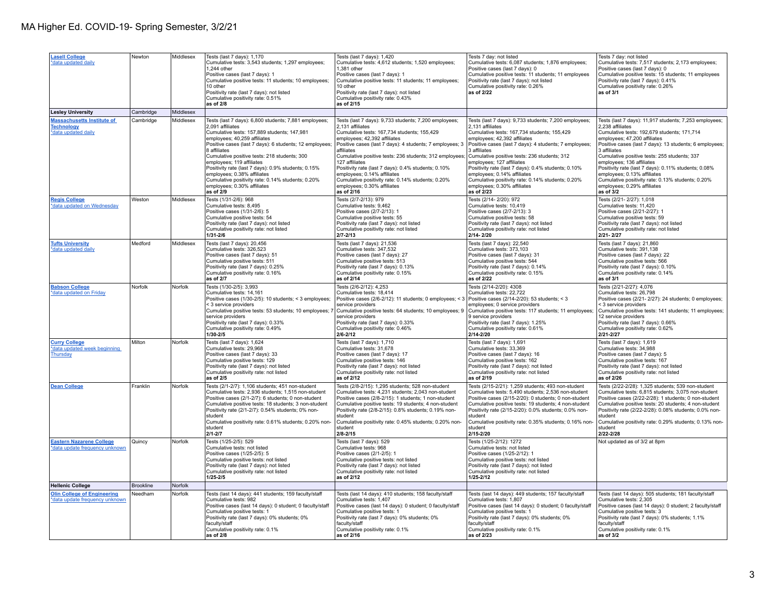| <b>Lasell College</b><br>*data updated daily                                  | Newton              | Middlesex              | Tests (last 7 days): 1,170<br>Cumulative tests: 3,543 students; 1,297 employees;<br>1.244 other<br>Positive cases (last 7 days): 1<br>Cumulative positive tests: 11 students; 10 employees;<br>10 other<br>Positivity rate (last 7 days): not listed<br>Cumulative positivity rate: 0.51%<br>as of 2/8                                                                                                                                                                                                                           | Tests (last 7 days): 1,420<br>Cumulative tests: 4,612 students; 1,520 employees;<br>1.381 other<br>Positive cases (last 7 days): 1<br>Cumulative positive tests: 11 students; 11 employees;<br>10 other<br>Positivity rate (last 7 days): not listed<br>Cumulative positivity rate: 0.43%<br>as of 2/15                                                                                                                                                                                                                          | Tests 7 day: not listed<br>Cumulative tests: 6,087 students; 1,876 employees;<br>Positive cases (last 7 days): 0<br>Cumulative positive tests: 11 students; 11 employees<br>Positivity rate (last 7 days): not listed<br>Cumulative positivity rate: 0.26%<br>as of 2/22                                                                                                                                                                                                                                                          | Tests 7 day: not listed<br>Cumulative tests: 7,517 students; 2,173 employees;<br>Positive cases (last 7 days): 0<br>Cumulative positive tests: 15 students; 11 employees<br>Positivity rate (last 7 days): 0.41%<br>Cumulative positivity rate: 0.26%<br>as of 3/1                                                                                                                                                                                                                                                                      |
|-------------------------------------------------------------------------------|---------------------|------------------------|----------------------------------------------------------------------------------------------------------------------------------------------------------------------------------------------------------------------------------------------------------------------------------------------------------------------------------------------------------------------------------------------------------------------------------------------------------------------------------------------------------------------------------|----------------------------------------------------------------------------------------------------------------------------------------------------------------------------------------------------------------------------------------------------------------------------------------------------------------------------------------------------------------------------------------------------------------------------------------------------------------------------------------------------------------------------------|-----------------------------------------------------------------------------------------------------------------------------------------------------------------------------------------------------------------------------------------------------------------------------------------------------------------------------------------------------------------------------------------------------------------------------------------------------------------------------------------------------------------------------------|-----------------------------------------------------------------------------------------------------------------------------------------------------------------------------------------------------------------------------------------------------------------------------------------------------------------------------------------------------------------------------------------------------------------------------------------------------------------------------------------------------------------------------------------|
| <b>Lesley University</b>                                                      | Cambridge           | Middlesex              |                                                                                                                                                                                                                                                                                                                                                                                                                                                                                                                                  |                                                                                                                                                                                                                                                                                                                                                                                                                                                                                                                                  |                                                                                                                                                                                                                                                                                                                                                                                                                                                                                                                                   |                                                                                                                                                                                                                                                                                                                                                                                                                                                                                                                                         |
| <b>Massachusetts Institute of</b><br><b>Technology</b><br>*data updated daily | Cambridge<br>Weston | Middlesex<br>Middlesex | Tests (last 7 days): 6,800 students; 7,881 employees;<br>2.091 affiliates<br>Cumulative tests: 157,889 students; 147,981<br>employees; 40,259 affiliates<br>Positive cases (last 7 days): 6 students; 12 employees;<br>8 affiliates<br>Cumulative positive tests: 218 students; 300<br>employees; 119 affiliates<br>Positivity rate (last 7 days): 0.9% students; 0.15%<br>employees; 0.38% affiliates<br>Cumulative positivity rate: 0.14% students; 0.20%<br>employees; 0.30% affiliates<br>as of 2/9<br>Tests (1/31-2/6): 968 | Tests (last 7 days): 9,733 students; 7,200 employees;<br>2.131 affiliates<br>Cumulative tests: 167.734 students: 155.429<br>employees; 42,392 affiliates<br>Positive cases (last 7 days): 4 students; 7 employees; 3<br>affiliates<br>Cumulative positive tests: 236 students; 312 employees;<br>127 affiliates<br>Positivity rate (last 7 days): 0.4% students; 0.10%<br>employees; 0.14% affiliates<br>Cumulative positivity rate: 0.14% students; 0.20%<br>employees; 0.30% affiliates<br>as of 2/16<br>Tests (2/7-2/13): 979 | Tests (last 7 days): 9,733 students; 7,200 employees;<br>2.131 affiliates<br>Cumulative tests: 167.734 students: 155.429<br>employees; 42,392 affiliates<br>Positive cases (last 7 days): 4 students; 7 employees;<br>3 affiliates<br>Cumulative positive tests: 236 students; 312<br>employees; 127 affiliates<br>Positivity rate (last 7 days): 0.4% students; 0.10%<br>employees; 0.14% affiliates<br>Cumulative positivity rate: 0.14% students; 0.20%<br>employees; 0.30% affiliates<br>as of 2/23<br>Tests (2/14-2/20): 972 | Tests (last 7 days): 11,917 students; 7,253 employees;<br>2.238 affiliates<br>Cumulative tests: 192,679 students; 171,714<br>employees; 47,200 affiliates<br>Positive cases (last 7 days): 13 students; 6 employees;<br>3 affiliates<br>Cumulative positive tests: 255 students; 337<br>employees; 136 affiliates<br>Positivity rate (last 7 days): 0.11% students; 0.08%<br>employees; 0.13% affiliates<br>Cumulative positivity rate: 0.13% students; 0.20%<br>employees; 0.29% affiliates<br>as of $3/2$<br>Tests (2/21-2/27): 1,018 |
| <b>Regis College</b><br>*data updated on Wednesday                            |                     |                        | Cumulative tests: 8,495<br>Positive cases (1/31-2/6): 5<br>Cumulative positive tests: 54<br>Positivity rate (last 7 days): not listed<br>Cumulative positivity rate: not listed<br>$1/31 - 2/6$                                                                                                                                                                                                                                                                                                                                  | Cumulative tests: 9,462<br>Positive cases (2/7-2/13): 1<br>Cumulative positive tests: 55<br>Positivity rate (last 7 days): not listed<br>Cumulative positivity rate: not listed<br>$2/7 - 2/13$                                                                                                                                                                                                                                                                                                                                  | Cumulative tests: 10,419<br>Positive cases (2/7-2/13): 3<br>Cumulative positive tests: 58<br>Positivity rate (last 7 days): not listed<br>Cumulative positivity rate: not listed<br>2/14-2/20                                                                                                                                                                                                                                                                                                                                     | Cumulative tests: 11,420<br>Positive cases (2/21-2/27): 1<br>Cumulative positive tests: 59<br>Positivity rate (last 7 days): not listed<br>Cumulative positivity rate: not listed<br>2/21-2/27                                                                                                                                                                                                                                                                                                                                          |
| <b>Tufts University</b><br>*data updated daily                                | Medford             | Middlesex              | Tests (last 7 days): 20,456<br>Cumulative tests: 326,523<br>Positive cases (last 7 days): 51<br>Cumulative positive tests: 511<br>Positivity rate (last 7 days): 0.25%<br>Cumulative positivity rate: 0.16%<br>as of 2/7                                                                                                                                                                                                                                                                                                         | Tests (last 7 days): 21,536<br>Cumulative tests: 347,532<br>Positive cases (last 7 days): 27<br>Cumulative positive tests: 513<br>Positivity rate (last 7 days): 0.13%<br>Cumulative positivity rate: 0.15%<br>as of 2/14                                                                                                                                                                                                                                                                                                        | Tests (last 7 days): 22,540<br>Cumulative tests: 373,103<br>Positive cases (last 7 days): 31<br>Cumulative positive tests: 544<br>Positivity rate (last 7 days): 0.14%<br>Cumulative positivity rate: 0.15%<br>as of 2/22                                                                                                                                                                                                                                                                                                         | Tests (last 7 days): 21,860<br>Cumulative tests: 391,138<br>Positive cases (last 7 days): 22<br>Cumulative positive tests: 566<br>Positivity rate (last 7 days): 0.10%<br>Cumulative positivity rate: 0.14%<br>as of 3/1                                                                                                                                                                                                                                                                                                                |
| <b>Babson College</b><br>*data updated on Friday                              | Norfolk             | Norfolk                | Tests (1/30-2/5): 3,993<br>Cumulative tests: 14.161<br>Positive cases (1/30-2/5): 10 students; < 3 employees;<br>< 3 service providers<br>Cumulative positive tests: 53 students; 10 employees; 7<br>service providers<br>Positivity rate (last 7 days): 0.33%<br>Cumulative positivity rate: 0.49%<br>$1/30 - 2/5$                                                                                                                                                                                                              | Tests (2/6-2/12): 4,253<br>Cumulative tests: 18.414<br>Positive cases (2/6-2/12): 11 students; 0 employees; < 3<br>service providers<br>Cumulative positive tests: 64 students; 10 employees; 9<br>service providers<br>Positivity rate (last 7 days): 0.33%<br>Cumulative positivity rate: 0.46%<br>$2/6 - 2/12$                                                                                                                                                                                                                | Tests (2/14-2/20): 4308<br>Cumulative tests: 22.722<br>Positive cases (2/14-2/20): 53 students; < 3<br>employees; 0 service providers<br>Cumulative positive tests: 117 students; 11 employees;<br>9 service providers<br>Positivity rate (last 7 days): 1.25%<br>Cumulative positivity rate: 0.61%<br>2/14-2/20                                                                                                                                                                                                                  | Tests (2/21-2/27): 4,076<br>Cumulative tests: 26.798<br>Positive cases (2/21-2/27): 24 students; 0 employees;<br>< 3 service providers<br>Cumulative positive tests: 141 students; 11 employees;<br>12 service providers<br>Positivity rate (last 7 days): 0.66%<br>Cumulative positivity rate: 0.62%<br>2/21-2/27                                                                                                                                                                                                                      |
| <b>Curry College</b><br>*data updated week beginning<br>Thursday              | Milton              | Norfolk                | Tests (last 7 days): 1,624<br>Cumulative tests: 29,968<br>Positive cases (last 7 days): 33<br>Cumulative positive tests: 129<br>Positivity rate (last 7 days): not listed<br>Cumulative positivity rate: not listed<br>as of 2/5                                                                                                                                                                                                                                                                                                 | Tests (last 7 days): 1,710<br>Cumulative tests: 31,678<br>Positive cases (last 7 days): 17<br>Cumulative positive tests: 146<br>Positivity rate (last 7 days): not listed<br>Cumulative positivity rate: not listed<br>as of 2/12                                                                                                                                                                                                                                                                                                | Tests (last 7 days): 1,691<br>Cumulative tests: 33,369<br>Positive cases (last 7 days): 16<br>Cumulative positive tests: 162<br>Positivity rate (last 7 days): not listed<br>Cumulative positivity rate: not listed<br>as of 2/19                                                                                                                                                                                                                                                                                                 | Tests (last 7 days): 1,619<br>Cumulative tests: 34,988<br>Positive cases (last 7 days): 5<br>Cumulative positive tests: 167<br>Positivity rate (last 7 days): not listed<br>Cumulative positivity rate: not listed<br>as of 2/26                                                                                                                                                                                                                                                                                                        |
| <b>Dean College</b>                                                           | Franklin            | Norfolk                | Tests (2/1-2/7): 1,106 students; 451 non-student<br>Cumulative tests: 2.936 students: 1.515 non-student<br>Positive cases (2/1-2/7): 6 students; 0 non-student<br>Cumulative positive tests: 18 students; 3 non-student<br>Positivity rate (2/1-2/7): 0.54% students; 0% non-<br>student<br>Cumulative positivity rate: 0.61% students; 0.20% non-<br>student<br>$2/1 - 2/7$                                                                                                                                                     | Tests (2/8-2/15): 1,295 students; 528 non-student<br>Cumulative tests: 4.231 students: 2.043 non-student<br>Positive cases (2/8-2/15): 1 students; 1 non-student<br>Cumulative positive tests: 19 students; 4 non-student<br>Positivity rate (2/8-2/15): 0.8% students; 0.19% non-<br>student<br>Cumulative positivity rate: 0.45% students; 0.20% non-<br>student<br>$2/8 - 2/15$                                                                                                                                               | Tests (2/15-2/21): 1,259 students; 493 non-student<br>Cumulative tests: 5.490 students: 2.536 non-student<br>Positive cases (2/15-2/20): 0 students; 0 non-student<br>Cumulative positive tests: 19 students; 4 non-student<br>Positivity rate (2/15-2/20): 0.0% students; 0.0% non-<br>student<br>Cumulative positivity rate: 0.35% students; 0.16% non-<br>student<br>2/15-2/20                                                                                                                                                 | Tests (2/22-2/28): 1,325 students; 539 non-student<br>Cumulative tests: 6.815 students: 3.075 non-student<br>Positive cases (2/22-2/28): 1 students; 0 non-student<br>Cumulative positive tests: 20 students; 4 non-student<br>Positivity rate (2/22-2/28): 0.08% students; 0.0% non-<br>student<br>Cumulative positivity rate: 0.29% students; 0.13% non-<br>student<br>2/22-2/28                                                                                                                                                      |
| <b>Eastern Nazarene College</b><br>*data update frequency unknown             | Quincy              | Norfolk                | Tests (1/25-2/5): 529<br>Cumulative tests: not listed<br>Positive cases (1/25-2/5): 5<br>Cumulative positive tests: not listed<br>Positivity rate (last 7 days): not listed<br>Cumulative positivity rate: not listed<br>$1/25 - 2/5$                                                                                                                                                                                                                                                                                            | Tests (last 7 days): 529<br>Cumulative tests: 968<br>Positive cases (2/1-2/5): 1<br>Cumulative positive tests: not listed<br>Positivity rate (last 7 days): not listed<br>Cumulative positivity rate: not listed<br>as of 2/12                                                                                                                                                                                                                                                                                                   | Tests (1/25-2/12): 1272<br>Cumulative tests: not listed<br>Positive cases (1/25-2/12): 1<br>Cumulative positive tests: not listed<br>Positivity rate (last 7 days): not listed<br>Cumulative positivity rate: not listed<br>$1/25 - 2/12$                                                                                                                                                                                                                                                                                         | Not updated as of 3/2 at 8pm                                                                                                                                                                                                                                                                                                                                                                                                                                                                                                            |
| <b>Hellenic College</b>                                                       | Brookline           | Norfolk                |                                                                                                                                                                                                                                                                                                                                                                                                                                                                                                                                  |                                                                                                                                                                                                                                                                                                                                                                                                                                                                                                                                  |                                                                                                                                                                                                                                                                                                                                                                                                                                                                                                                                   |                                                                                                                                                                                                                                                                                                                                                                                                                                                                                                                                         |
| <b>Olin College of Engineering</b><br><u>*data update frequency unknown</u>   | Needham             | Norfolk                | Tests (last 14 days): 441 students; 159 faculty/staff<br>Cumulative tests: 982<br>Positive cases (last 14 days): 0 student; 0 faculty/staff<br>Cumulative positive tests: 1<br>Positivity rate (last 7 days): 0% students; 0%<br>faculty/staff<br>Cumulative positivity rate: 0.1%<br>as of 2/8                                                                                                                                                                                                                                  | Tests (last 14 days): 410 students; 158 faculty/staff<br>Cumulative tests: 1,407<br>Positive cases (last 14 days): 0 student; 0 faculty/staff<br>Cumulative positive tests: 1<br>Positivity rate (last 7 days): 0% students; 0%<br>faculty/staff<br>Cumulative positivity rate: 0.1%<br>as of 2/16                                                                                                                                                                                                                               | Tests (last 14 days): 449 students; 157 faculty/staff<br>Cumulative tests: 1,807<br>Positive cases (last 14 days): 0 student; 0 faculty/staff<br>Cumulative positive tests: 1<br>Positivity rate (last 7 days): 0% students; 0%<br>faculty/staff<br>Cumulative positivity rate: 0.1%<br>as of 2/23                                                                                                                                                                                                                                | Tests (last 14 days): 505 students; 181 faculty/staff<br>Cumulative tests: 2,305<br>Positive cases (last 14 days): 0 student; 2 faculty/staff<br>Cumulative positive tests: 3<br>Positivity rate (last 7 days): 0% students; 1.1%<br>faculty/staff<br>Cumulative positivity rate: 0.1%<br>as of 3/2                                                                                                                                                                                                                                     |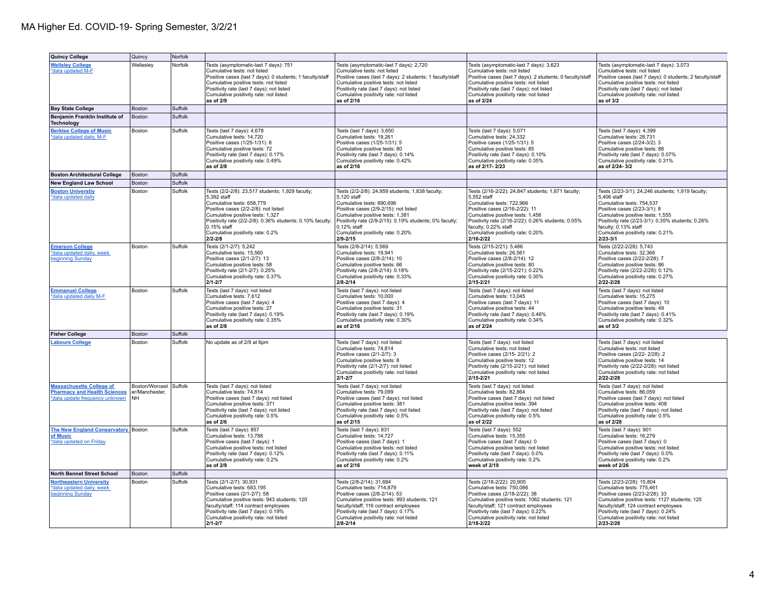| <b>Quincy College</b>                                                                                    | Quincy                                        | Norfolk |                                                                                                                                                                                                                                                                                                     |                                                                                                                                                                                                                                                                                                          |                                                                                                                                                                                                                                                                                                          |                                                                                                                                                                                                                                                                                                     |
|----------------------------------------------------------------------------------------------------------|-----------------------------------------------|---------|-----------------------------------------------------------------------------------------------------------------------------------------------------------------------------------------------------------------------------------------------------------------------------------------------------|----------------------------------------------------------------------------------------------------------------------------------------------------------------------------------------------------------------------------------------------------------------------------------------------------------|----------------------------------------------------------------------------------------------------------------------------------------------------------------------------------------------------------------------------------------------------------------------------------------------------------|-----------------------------------------------------------------------------------------------------------------------------------------------------------------------------------------------------------------------------------------------------------------------------------------------------|
| <b>Wellsley College</b><br>*data updated M-F                                                             | Wellesley                                     | Norfolk | Tests (asymptomatic-last 7 days): 751<br>Cumulative tests: not listed<br>Positive cases (last 7 days): 0 students; 1 faculty/staff<br>Cumulative positive tests: not listed<br>Positivity rate (last 7 days): not listed<br>Cumulative positivity rate: not listed<br>as of 2/9                     | Tests (asymptomatic-last 7 days): 2,720<br>Cumulative tests: not listed<br>Positive cases (last 7 days): 2 students; 1 faculty/staff<br>Cumulative positive tests: not listed<br>Positivity rate (last 7 days): not listed<br>Cumulative positivity rate: not listed<br>as of 2/16                       | Tests (asymptomatic-last 7 days): 3,623<br>Cumulative tests: not listed<br>Positive cases (last 7 days): 2 students; 0 faculty/staff<br>Cumulative positive tests: not listed<br>Positivity rate (last 7 days): not listed<br>Cumulative positivity rate: not listed<br>as of 2/24                       | Tests (asymptomatic-last 7 days): 3,073<br>Cumulative tests: not listed<br>Positive cases (last 7 days): 0 students; 2 faculty/staff<br>Cumulative positive tests: not listed<br>Positivity rate (last 7 days): not listed<br>Cumulative positivity rate: not listed<br>as of 3/2                   |
| <b>Bay State College</b>                                                                                 | Boston                                        | Suffolk |                                                                                                                                                                                                                                                                                                     |                                                                                                                                                                                                                                                                                                          |                                                                                                                                                                                                                                                                                                          |                                                                                                                                                                                                                                                                                                     |
| Benjamin Franklin Institute of<br>Technology                                                             | Boston                                        | Suffolk |                                                                                                                                                                                                                                                                                                     |                                                                                                                                                                                                                                                                                                          |                                                                                                                                                                                                                                                                                                          |                                                                                                                                                                                                                                                                                                     |
| <b>Berklee College of Music</b><br>*data updated daily, M-F                                              | Boston                                        | Suffolk | Tests (last 7 days): 4,678<br>Cumulative tests: 14,720<br>Positive cases (1/25-1/31): 8<br>Cumulative positive tests: 72<br>Positivity rate (last 7 days): 0.17%<br>Cumulative positivity rate: 0.49%<br>as of 2/8                                                                                  | Tests (last 7 days): 3,650<br>Cumulative tests: 19,261<br>Positive cases (1/25-1/31): 5<br>Cumulative positive tests: 80<br>Positivity rate (last 7 days): 0.14%<br>Cumulative positivity rate: 0.42%<br>as of 2/16                                                                                      | Tests (last 7 days): 5,071<br>Cumulative tests: 24,332<br>Positive cases (1/25-1/31): 5<br>Cumulative positive tests: 85<br>Positivity rate (last 7 days): 0.10%<br>Cumulative positivity rate: 0.35%<br>as of 2/17-2/23                                                                                 | Tests (last 7 days): 4,399<br>Cumulative tests: 28,731<br>Positive cases (2/24-3/2): 3<br>Cumulative positive tests: 88<br>Positivity rate (last 7 days): 0.07%<br>Cumulative positivity rate: 0.31%<br>as of 2/24-3/2                                                                              |
| <b>Boston Architectural College</b>                                                                      | Boston                                        | Suffolk |                                                                                                                                                                                                                                                                                                     |                                                                                                                                                                                                                                                                                                          |                                                                                                                                                                                                                                                                                                          |                                                                                                                                                                                                                                                                                                     |
| <b>New England Law School</b>                                                                            | Boston                                        | Suffolk |                                                                                                                                                                                                                                                                                                     |                                                                                                                                                                                                                                                                                                          |                                                                                                                                                                                                                                                                                                          |                                                                                                                                                                                                                                                                                                     |
| <b>Boston Universtiy</b><br>*data updated daily                                                          | Boston                                        | Suffolk | Tests (2/2-2/8): 23,517 students; 1,929 faculty;<br>5,392 staff<br>Cumulative tests: 658.779<br>Positive cases (2/2-2/8): not listed<br>Cumulative positive tests: 1,327<br>Positivity rate (2/2-2/8): 0.36% students; 0.10% faculty;<br>0.15% staff<br>Cumulative positivity rate: 0.2%<br>2/2-2/8 | Tests (2/2-2/8): 24,959 students; 1,838 faculty;<br>5,120 staff<br>Cumulative tests: 690,696<br>Positive cases (2/9-2/15): not listed<br>Cumulative positive tests: 1,381<br>Positivity rate (2/9-2/15): 0.19% students; 0% faculty;<br>0.12% staff<br>Cumulative positivity rate: 0.20%<br>$2/9 - 2/15$ | Tests (2/16-2/22): 24,847 students; 1,871 faculty;<br>5,552 staff<br>Cumulative tests: 722,966<br>Positive cases (2/16-2/22): 11<br>Cumulative positive tests: 1,458<br>Positivity rate (2/16-2/22): 0.26% students; 0.05%<br>faculty; 0.22% staff<br>Cumulative positivity rate: 0.20%<br>$2/16 - 2/22$ | Tests (2/23-3/1): 24,246 students; 1,919 faculty;<br>5,406 staff<br>Cumulative tests: 754,537<br>Positive cases (2/23-3/1): 8<br>Cumulative positive tests: 1,555<br>Positivity rate (2/23-3/1): 0.35% students; 0.26%<br>faculty; 0.13% staff<br>Cumulative positivity rate: 0.21%<br>$2/23 - 3/1$ |
| <b>Emerson College</b><br>*data updated daily, week<br>beginning Sunday                                  | Boston                                        | Suffolk | Tests (2/1-2/7): 5,242<br>Cumulative tests: 15,560<br>Positive cases (2/1-2/7): 13<br>Cumulative positive tests: 58<br>Positivity rate (2/1-2/7): 0.25%<br>Cumulative positivity rate: 0.37%<br>2/1-2/7                                                                                             | Tests (2/8-2/14): 5,569<br>Cumulative tests: 19,941<br>Positive cases (2/8-2/14): 10<br>Cumulative positive tests: 66<br>Positivity rate (2/8-2/14): 0.18%<br>Cumulative positivity rate: 0.33%<br>$2/8 - 2/14$                                                                                          | Tests (2/15-2/21): 5,486<br>Cumulative tests: 26,561<br>Positive cases (2/8-2/14): 12<br>Cumulative positive tests: 80<br>Positivity rate (2/15-2/21): 0.22%<br>Cumulative positivity rate: 0.30%<br>$2/15 - 2/21$                                                                                       | Tests (2/22-2/28): 5,743<br>Cumulative tests: 32,366<br>Positive cases (2/22-2/28): 7<br>Cumulative positive tests: 86<br>Positivity rate (2/22-2/28): 0.12%<br>Cumulative positivity rate: 0.27%<br>2/22-2/28                                                                                      |
| <b>Emmanuel College</b><br>*data updated daily M-F                                                       | Boston                                        | Suffolk | Tests (last 7 days): not listed<br>Cumulative tests: 7,612<br>Positive cases (last 7 days): 4<br>Cumulative positive tests: 27<br>Positivity rate (last 7 days): 0.19%<br>Cumulative positivity rate: 0.35%<br>as of 2/8                                                                            | Tests (last 7 days): not listed<br>Cumulative tests: 10,000<br>Positive cases (last 7 days): 4<br>Cumulative positive tests: 31<br>Positivity rate (last 7 days): 0.19%<br>Cumulative positivity rate: 0.30%<br>as of 2/16                                                                               | Tests (last 7 days): not listed<br>Cumulative tests: 13,045<br>Positive cases (last 7 days): 11<br>Cumulative positive tests: 44<br>Positivity rate (last 7 days): 0.46%<br>Cumulative positivity rate: 0.34%<br>as of 2/24                                                                              | Tests (last 7 days): not listed<br>Cumulative tests: 15,275<br>Positive cases (last 7 days): 10<br>Cumulative positive tests: 49<br>Positivity rate (last 7 days): 0.41%<br>Cumulative positivity rate: 0.32%<br>as of 3/2                                                                          |
| <b>Fisher College</b>                                                                                    | Boston                                        | Suffolk |                                                                                                                                                                                                                                                                                                     |                                                                                                                                                                                                                                                                                                          |                                                                                                                                                                                                                                                                                                          |                                                                                                                                                                                                                                                                                                     |
| <b>Laboure College</b>                                                                                   | Boston                                        | Suffolk | No update as of 2/9 at 6pm                                                                                                                                                                                                                                                                          | Tests (last 7 days): not listed<br>Cumulative tests: 74,814<br>Positive cases (2/1-2/7): 3<br>Cumulative positive tests: 8<br>Positivity rate (2/1-2/7): not listed<br>Cumulative positivity rate: not listed<br>$2/1 - 2/7$                                                                             | Tests (last 7 days): not listed<br>Cumulative tests: not listed<br>Positive cases (2/15-2/21): 2<br>Cumulative positive tests: 12<br>Positivity rate (2/15-2/21): not listed<br>Cumulative positivity rate: not listed<br>$2/15 - 2/21$                                                                  | Tests (last 7 days): not listed<br>Cumulative tests: not listed<br>Positive cases (2/22-2/28): 2<br>Cumulative positive tests: 14<br>Positivity rate (2/22-2/28): not listed<br>Cumulative positivity rate: not listed<br>2/22-2/28                                                                 |
| <b>Massachusetts College of</b><br><b>Pharmacy and Health Sciences</b><br>*data update frequency unknown | Boston/Worcest<br>er/Manchester.<br><b>NH</b> | Suffolk | Tests (last 7 days): not listed<br>Cumulative tests: 74.814<br>Positive cases (last 7 days): not listed<br>Cumulative positive tests: 371<br>Positivity rate (last 7 days): not listed<br>Cumulative positivity rate: 0.5%<br>as of 2/6                                                             | Tests (last 7 days): not listed<br>Cumulative tests: 79.099<br>Positive cases (last 7 days): not listed<br>Cumulative positive tests: 381<br>Positivity rate (last 7 days); not listed<br>Cumulative positivity rate: 0.5%<br>as of 2/15                                                                 | Tests (last 7 days): not listed<br>Cumulative tests: 82.864<br>Positive cases (last 7 days): not listed<br>Cumulative positive tests: 394<br>Positivity rate (last 7 days); not listed<br>Cumulative positivity rate: 0.5%<br>as of 2/22                                                                 | Tests (last 7 days): not listed<br>Cumulative tests: 86.059<br>Positive cases (last 7 days): not listed<br>Cumulative positive tests: 408<br>Positivity rate (last 7 days); not listed<br>Cumulative positivity rate: 0.5%<br>as of 2/28                                                            |
| The New England Conservatory Boston<br>of Music<br>*data updated on Fridav                               |                                               | Suffolk | Tests (last 7 days): 857<br>Cumulative tests: 13,788<br>Positive cases (last 7 days): 1<br>Cumulative positive tests: not listed<br>Positivity rate (last 7 days): 0.12%<br>Cumulative positivity rate: 0.2%<br>as of 2/9                                                                           | Tests (last 7 days): 931<br>Cumulative tests: 14,727<br>Positive cases (last 7 days): 1<br>Cumulative positive tests: not listed<br>Positivity rate (last 7 days): 0.11%<br>Cumulative positivity rate: 0.2%<br>as of 2/16                                                                               | Tests (last 7 days): 552<br>Cumulative tests: 15,355<br>Positive cases (last 7 days): 0<br>Cumulative positive tests: not listed<br>Positivity rate (last 7 days): 0.0%<br>Cumulative positivity rate: 0.2%<br>week of 2/19                                                                              | Tests (last 7 days): 901<br>Cumulative tests: 16,279<br>Positive cases (last 7 days): 0<br>Cumulative positive tests: not listed<br>Positivity rate (last 7 days): 0.0%<br>Cumulative positivity rate: 0.2%<br>week of 2/26                                                                         |
| <b>North Bennet Street School</b>                                                                        | Boston                                        | Suffolk |                                                                                                                                                                                                                                                                                                     |                                                                                                                                                                                                                                                                                                          |                                                                                                                                                                                                                                                                                                          |                                                                                                                                                                                                                                                                                                     |
| <b>Northeastern University</b><br>*data updated daily, week<br>beginning Sunday                          | Boston                                        | Suffolk | Tests (2/1-2/7): 30,931<br>Cumulative tests: 683,195<br>Positive cases (2/1-2/7): 58<br>Cumulative positive tests: 943 students; 120<br>faculty/staff; 114 contract employees<br>Positivity rate (last 7 days): 0.19%<br>Cumulative positivity rate: not listed<br>$2/1 - 2/7$                      | Tests (2/8-2/14): 31,684<br>Cumulative tests: 714,879<br>Positive cases (2/8-2/14): 53<br>Cumulative positive tests: 993 students; 121<br>faculty/staff; 116 contract employees<br>Positivity rate (last 7 days): 0.17%<br>Cumulative positivity rate: not listed<br>$2/8 - 2/14$                        | Tests (2/18-2/22): 20,905<br>Cumulative tests: 750,086<br>Positive cases (2/18-2/22): 38<br>Cumulative positive tests: 1062 students; 121<br>faculty/staff; 121 contract employees<br>Positivity rate (last 7 days): 0.22%<br>Cumulative positivity rate: not listed<br>2/18-2/22                        | Tests (2/23-2/28): 15,804<br>Cumulative tests: 775,461<br>Positive cases (2/23-2/28): 33<br>Cumulative positive tests: 1127 students; 125<br>faculty/staff; 124 contract employees<br>Positivity rate (last 7 days): 0.24%<br>Cumulative positivity rate: not listed<br>2/23-2/28                   |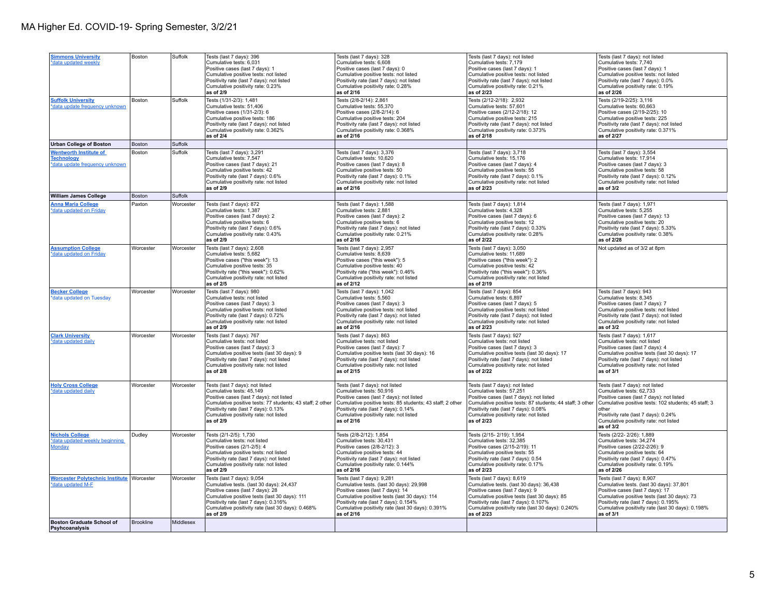| <b>Simmons University</b><br>*data updated weekly                                    | Boston           | Suffolk        | Tests (last 7 days): 396<br>Cumulative tests: 6,031<br>Positive cases (last 7 days): 1<br>Cumulative positive tests: not listed<br>Positivity rate (last 7 days): not listed<br>Cumulative positivity rate: 0.23%<br>as of 2/9                                         | Tests (last 7 days): 328<br>Cumulative tests: 6,608<br>Positive cases (last 7 days): 0<br>Cumulative positive tests: not listed<br>Positivity rate (last 7 days): not listed<br>Cumulative positivity rate: 0.28%<br>as of 2/16                                         | Tests (last 7 days): not listed<br>Cumulative tests: 7,179<br>Positive cases (last 7 days): 1<br>Cumulative positive tests: not listed<br>Positivity rate (last 7 days): not listed<br>Cumulative positivity rate: 0.21%<br>as of 2/23                                | Tests (last 7 days): not listed<br>Cumulative tests: 7,740<br>Positive cases (last 7 days): 1<br>Cumulative positive tests: not listed<br>Positivity rate (last 7 days): 0.0%<br>Cumulative positivity rate: 0.19%<br>as of 2/26                                          |
|--------------------------------------------------------------------------------------|------------------|----------------|------------------------------------------------------------------------------------------------------------------------------------------------------------------------------------------------------------------------------------------------------------------------|-------------------------------------------------------------------------------------------------------------------------------------------------------------------------------------------------------------------------------------------------------------------------|-----------------------------------------------------------------------------------------------------------------------------------------------------------------------------------------------------------------------------------------------------------------------|---------------------------------------------------------------------------------------------------------------------------------------------------------------------------------------------------------------------------------------------------------------------------|
| <b>Suffolk University</b><br>*data update frequency unknown                          | Boston           | Suffolk        | Tests (1/31-2/3): 1,481<br>Cumulative tests: 51,406<br>Positive cases (1/31-2/3): 6<br>Cumulative positive tests: 186<br>Positivity rate (last 7 days): not listed<br>Cumulative positivity rate: 0.362%<br>as of $2/4$                                                | Tests (2/8-2/14): 2,861<br>Cumulative tests: 55,370<br>Positive cases (2/8-2/14): 6<br>Cumulative positive tests: 204<br>Positivity rate (last 7 days): not listed<br>Cumulative positivity rate: 0.368%<br>as of 2/16                                                  | Tests (2/12-2/18): 2,932<br>Cumulative tests: 57,601<br>Positive cases (2/12-2/18): 12<br>Cumulative positive tests: 215<br>Positivity rate (last 7 days): not listed<br>Cumulative positivity rate: 0.373%<br>as of 2/18                                             | Tests (2/19-2/25): 3,116<br>Cumulative tests: 60,663<br>Positive cases (2/19-2/25): 10<br>Cumulative positive tests: 225<br>Positivity rate (last 7 days): not listed<br>Cumulative positivity rate: 0.371%<br>as of 2/27                                                 |
| <b>Urban College of Boston</b>                                                       | <b>Boston</b>    | Suffolk        |                                                                                                                                                                                                                                                                        |                                                                                                                                                                                                                                                                         |                                                                                                                                                                                                                                                                       |                                                                                                                                                                                                                                                                           |
| <b>Wentworth Institute of</b><br><b>Technology</b><br>*data update frequency unknown | Boston           | Suffolk        | Tests (last 7 days): 3,291<br>Cumulative tests: 7.547<br>Positive cases (last 7 days): 21<br>Cumulative positive tests: 42<br>Positivity rate (last 7 days): 0.6%<br>Cumulative positivity rate: not listed<br>as of 2/9                                               | Tests (last 7 days): 3,376<br>Cumulative tests: 10.620<br>Positive cases (last 7 days): 8<br>Cumulative positive tests: 50<br>Positivity rate (last 7 days): 0.1%<br>Cumulative positivity rate: not listed<br>as of 2/16                                               | Tests (last 7 days): 3,718<br>Cumulative tests: 15.176<br>Positive cases (last 7 days): 4<br>Cumulative positive tests: 55<br>Positivity rate (last 7 days): 0.1%<br>Cumulative positivity rate: not listed<br>as of 2/23                                             | Tests (last 7 days): 3,554<br>Cumulative tests: 17.914<br>Positive cases (last 7 days): 3<br>Cumulative positive tests: 58<br>Positivity rate (last 7 days): 0.12%<br>Cumulative positivity rate: not listed<br>as of 3/2                                                 |
| <b>William James College</b>                                                         | Boston           | <b>Suffolk</b> |                                                                                                                                                                                                                                                                        |                                                                                                                                                                                                                                                                         |                                                                                                                                                                                                                                                                       |                                                                                                                                                                                                                                                                           |
| <b>Anna Maria College</b><br>*data updated on Friday                                 | Paxton           | Worcester      | Tests (last 7 days): 872<br>Cumulative tests: 1,387<br>Positive cases (last 7 days): 2<br>Cumulative positive tests: 6<br>Positivity rate (last 7 days): 0.6%<br>Cumulative positivity rate: 0.43%<br>as of 2/9                                                        | Tests (last 7 days): 1,588<br>Cumulative tests: 2,881<br>Positive cases (last 7 days): 2<br>Cumulative positive tests: 6<br>Positivity rate (last 7 days): not listed<br>Cumulative positivity rate: 0.21%<br>as of 2/16                                                | Tests (last 7 days): 1,814<br>Cumulative tests: 4,328<br>Positive cases (last 7 days): 6<br>Cumulative positive tests: 12<br>Positivity rate (last 7 days): 0.33%<br>Cumulative positivity rate: 0.28%<br>as of 2/22                                                  | Tests (last 7 days): 1,971<br>Cumulative tests: 5,255<br>Positive cases (last 7 days): 13<br>Cumulative positive tests: 20<br>Positivity rate (last 7 days): 5.33%<br>Cumulative positivity rate: 0.38%<br>as of 2/28                                                     |
| <b>Assumption College</b><br>*data updated on Friday                                 | Worcester        | Worcester      | Tests (last 7 days): 2,608<br>Cumulative tests: 5,682<br>Positive cases ("this week"): 13<br>Cumulative positive tests: 35<br>Positivity rate ("this week"): 0.62%<br>Cumulative positivity rate: not listed<br>as of 2/5                                              | Tests (last 7 days): 2,957<br>Cumulative tests: 8,639<br>Positive cases ("this week"): 5<br>Cumulative positive tests: 40<br>Positivity rate ("this week"): 0.46%<br>Cumulative positivity rate: not listed<br>as of 2/12                                               | Tests (last 7 days): 3,050<br>Cumulative tests: 11,689<br>Positive cases ("this week"): 2<br>Cumulative positive tests: 42<br>Positivity rate ("this week"): 0.36%<br>Cumulative positivity rate: not listed<br>as of 2/19                                            | Not updated as of 3/2 at 8pm                                                                                                                                                                                                                                              |
| <b>Becker College</b><br>*data updated on Tuesday                                    | Worcester        | Worcester      | Tests (last 7 days): 980<br>Cumulative tests: not listed<br>Positive cases (last 7 days): 3<br>Cumulative positive tests: not listed<br>Positivity rate (last 7 days): 0.72%<br>Cumulative positivity rate: not listed<br>as of 2/9                                    | Tests (last 7 days): 1,042<br>Cumulative tests: 5,560<br>Positive cases (last 7 days): 3<br>Cumulative positive tests: not listed<br>Positivity rate (last 7 days): not listed<br>Cumulative positivity rate: not listed<br>as of 2/16                                  | Tests (last 7 days): 854<br>Cumulative tests: 6,897<br>Positive cases (last 7 days): 5<br>Cumulative positive tests: not listed<br>Positivity rate (last 7 days): not listed<br>Cumulative positivity rate: not listed<br>as of 2/23                                  | Tests (last 7 days): 943<br>Cumulative tests: 8,345<br>Positive cases (last 7 days): 7<br>Cumulative positive tests: not listed<br>Positivity rate (last 7 days): not listed<br>Cumulative positivity rate: not listed<br>as of 3/2                                       |
| <b>Clark University</b><br>*data updated daily                                       | Worcester        | Worcester      | Tests (last 7 days): 767<br>Cumulative tests: not listed<br>Positive cases (last 7 days): 3<br>Cumulative positive tests (last 30 days): 9<br>Positivity rate (last 7 days): not listed<br>Cumulative positivity rate: not listed<br>as of 2/8                         | Tests (last 7 days): 863<br>Cumulative tests: not listed<br>Positive cases (last 7 days): 7<br>Cumulative positive tests (last 30 days): 16<br>Positivity rate (last 7 days): not listed<br>Cumulative positivity rate: not listed<br>as of 2/15                        | Tests (last 7 days): 927<br>Cumulative tests: not listed<br>Positive cases (last 7 days): 3<br>Cumulative positive tests (last 30 days): 17<br>Positivity rate (last 7 days): not listed<br>Cumulative positivity rate: not listed<br>as of 2/22                      | Tests (last 7 days): 1,617<br>Cumulative tests: not listed<br>Positive cases (last 7 days): 4<br>Cumulative positive tests (last 30 days): 17<br>Positivity rate (last 7 days): not listed<br>Cumulative positivity rate: not listed<br>as of 3/1                         |
| <b>Holy Cross College</b><br>*data updated daily                                     | Worcester        | Worcester      | Tests (last 7 days): not listed<br>Cumulative tests: 45.149<br>Positive cases (last 7 days): not listed<br>Cumulative positive tests: 77 students; 43 staff; 2 other<br>Positivity rate (last 7 days): 0.13%<br>Cumulative positivity rate: not listed<br>as of 2/9    | Tests (last 7 days): not listed<br>Cumulative tests: 50.916<br>Positive cases (last 7 days): not listed<br>Cumulative positive tests: 85 students; 43 staff; 2 other<br>Positivity rate (last 7 days): 0.14%<br>Cumulative positivity rate: not listed<br>as of 2/16    | Tests (last 7 days): not listed<br>Cumulative tests: 57.251<br>Positive cases (last 7 days): not listed<br>Cumulative positive tests: 87 students; 44 staff; 3 other<br>Positivity rate (last 7 days): 0.08%<br>Cumulative positivity rate: not listed<br>as of 2/23  | Tests (last 7 days): not listed<br>Cumulative tests: 62.733<br>Positive cases (last 7 days): not listed<br>Cumulative positive tests: 102 students; 45 staff; 3<br>other<br>Positivity rate (last 7 days): 0.24%<br>Cumulative positivity rate: not listed<br>as of $3/2$ |
| <b>Nichols College</b><br>*data updated weekly beginning<br>Monday                   | Dudley           | Worcester      | Tests (2/1-2/5): 1,730<br>Cumulative tests: not listed<br>Positive cases (2/1-2/5): 4<br>Cumulative positive tests: not listed<br>Positivity rate (last 7 days): not listed<br>Cumulative positivity rate: not listed<br>as of 2/9                                     | Tests (2/8-2/12): 1,854<br>Cumulative tests: 30,431<br>Positive cases (2/8-2/12): 3<br>Cumulative positive tests: 44<br>Positivity rate (last 7 days): not listed<br>Cumulative positivity rate: 0.144%<br>as of 2/16                                                   | Tests (2/15-2/19): 1,954<br>Cumulative tests: 32,385<br>Positive cases (2/15-2/19): 11<br>Cumulative positive tests: 55<br>Positivity rate (last 7 days): 0.54<br>Cumulative positivity rate: 0.17%<br>as of 2/23                                                     | Tests (2/22- 2/26): 1,889<br>Cumulative tests: 34,274<br>Positive cases (2/22-2/26): 9<br>Cumulative positive tests: 64<br>Positivity rate (last 7 days): 0.47%<br>Cumulative positivity rate: 0.19%<br>as of 2/26                                                        |
| Worcester Polytechnic Institute Worcester<br>*data updated M-F                       |                  | Worcester      | Tests (last 7 days): 9,054<br>Cumulative tests. (last 30 days): 24,437<br>Positive cases (last 7 days): 28<br>Cumulative positive tests (last 30 days): 111<br>Positivity rate (last 7 days): 0.316%<br>Cumulative positivity rate (last 30 days): 0.468%<br>as of 2/9 | Tests (last 7 days): 9,281<br>Cumulative tests. (last 30 days): 29,998<br>Positive cases (last 7 days): 14<br>Cumulative positive tests (last 30 days): 114<br>Positivity rate (last 7 days): 0.154%<br>Cumulative positivity rate (last 30 days): 0.391%<br>as of 2/16 | Tests (last 7 days): 8,619<br>Cumulative tests. (last 30 days): 36,438<br>Positive cases (last 7 days): 9<br>Cumulative positive tests (last 30 days): 85<br>Positivity rate (last 7 days): 0.107%<br>Cumulative positivity rate (last 30 days): 0.240%<br>as of 2/23 | Tests (last 7 days): 8,907<br>Cumulative tests. (last 30 days): 37,801<br>Positive cases (last 7 days): 17<br>Cumulative positive tests (last 30 days): 73<br>Positivity rate (last 7 days): 0.195%<br>Cumulative positivity rate (last 30 days): 0.198%<br>as of 3/1     |
| <b>Boston Graduate School of</b><br>Psyhcoanalysis                                   | <b>Brookline</b> | Middlesex      |                                                                                                                                                                                                                                                                        |                                                                                                                                                                                                                                                                         |                                                                                                                                                                                                                                                                       |                                                                                                                                                                                                                                                                           |